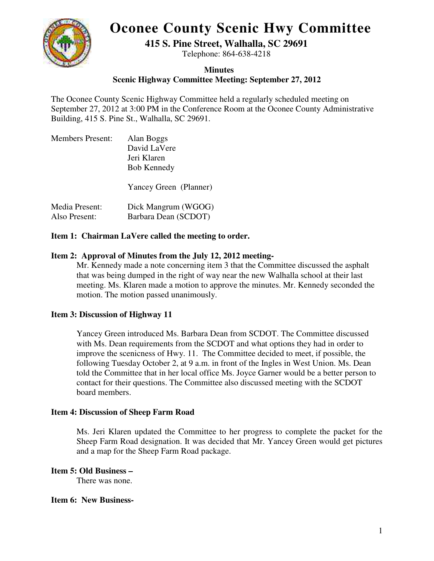# **Oconee County Scenic Hwy Committee**



**415 S. Pine Street, Walhalla, SC 29691** 

Telephone: 864-638-4218

## **Minutes**

**Scenic Highway Committee Meeting: September 27, 2012** 

The Oconee County Scenic Highway Committee held a regularly scheduled meeting on September 27, 2012 at 3:00 PM in the Conference Room at the Oconee County Administrative Building, 415 S. Pine St., Walhalla, SC 29691.

| <b>Members Present:</b> | Alan Boggs             |
|-------------------------|------------------------|
|                         | David LaVere           |
|                         | Jeri Klaren            |
|                         | <b>Bob Kennedy</b>     |
|                         | Yancey Green (Planner) |
| Media Present:          | Dick Mangrum (WGOG)    |
| Also Present:           | Barbara Dean (SCDOT)   |

## **Item 1: Chairman LaVere called the meeting to order.**

## **Item 2: Approval of Minutes from the July 12, 2012 meeting-**

Mr. Kennedy made a note concerning item 3 that the Committee discussed the asphalt that was being dumped in the right of way near the new Walhalla school at their last meeting. Ms. Klaren made a motion to approve the minutes. Mr. Kennedy seconded the motion. The motion passed unanimously.

# **Item 3: Discussion of Highway 11**

Yancey Green introduced Ms. Barbara Dean from SCDOT. The Committee discussed with Ms. Dean requirements from the SCDOT and what options they had in order to improve the scenicness of Hwy. 11. The Committee decided to meet, if possible, the following Tuesday October 2, at 9 a.m. in front of the Ingles in West Union. Ms. Dean told the Committee that in her local office Ms. Joyce Garner would be a better person to contact for their questions. The Committee also discussed meeting with the SCDOT board members.

#### **Item 4: Discussion of Sheep Farm Road**

Ms. Jeri Klaren updated the Committee to her progress to complete the packet for the Sheep Farm Road designation. It was decided that Mr. Yancey Green would get pictures and a map for the Sheep Farm Road package.

#### **Item 5: Old Business**

There was none.

#### **Item 6: New Business-**